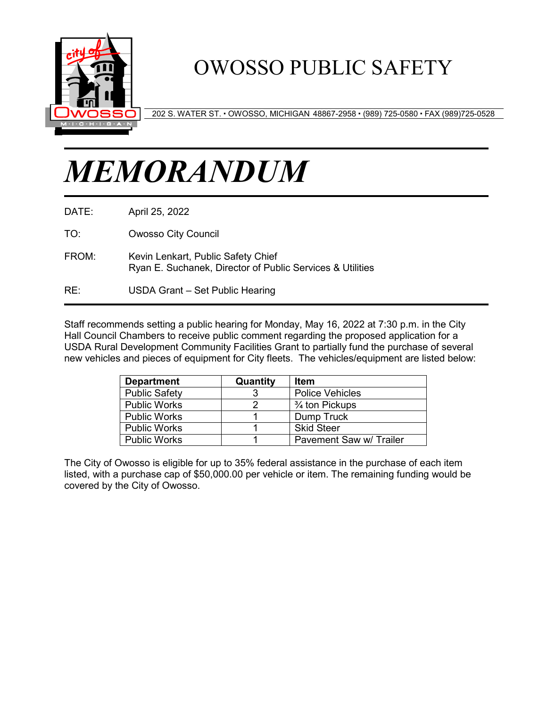

## OWOSSO PUBLIC SAFETY

202 S. WATER ST. OWOSSO, MICHIGAN 48867-2958 (989) 725-0580 FAX (989)725-0528

# *MEMORANDUM*

- DATE: April 25, 2022
- TO: Owosso City Council
- FROM: Kevin Lenkart, Public Safety Chief Ryan E. Suchanek, Director of Public Services & Utilities
- RE: USDA Grant Set Public Hearing

Staff recommends setting a public hearing for Monday, May 16, 2022 at 7:30 p.m. in the City Hall Council Chambers to receive public comment regarding the proposed application for a USDA Rural Development Community Facilities Grant to partially fund the purchase of several new vehicles and pieces of equipment for City fleets. The vehicles/equipment are listed below:

| <b>Department</b>    | Quantity | Item                      |
|----------------------|----------|---------------------------|
| <b>Public Safety</b> |          | <b>Police Vehicles</b>    |
| <b>Public Works</b>  |          | $\frac{3}{4}$ ton Pickups |
| <b>Public Works</b>  |          | Dump Truck                |
| <b>Public Works</b>  |          | <b>Skid Steer</b>         |
| <b>Public Works</b>  |          | Pavement Saw w/ Trailer   |

The City of Owosso is eligible for up to 35% federal assistance in the purchase of each item listed, with a purchase cap of \$50,000.00 per vehicle or item. The remaining funding would be covered by the City of Owosso.